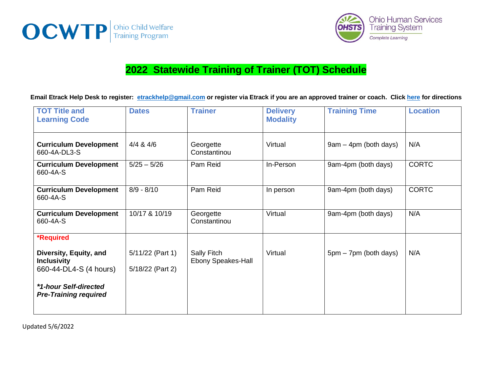



## **2022 Statewide Training of Trainer (TOT) Schedule**

**Email Etrack Help Desk to register: [etrackhelp@gmail.com](mailto:etrackhelp@gmail.com) or register via Etrack if you are an approved trainer or coach. Click [here](https://www.screencast.com/t/WVxt7dIjSf) for directions**

| <b>TOT Title and</b><br><b>Learning Code</b>                           | <b>Dates</b>                           | <b>Trainer</b>                           | <b>Delivery</b><br><b>Modality</b> | <b>Training Time</b>  | <b>Location</b> |
|------------------------------------------------------------------------|----------------------------------------|------------------------------------------|------------------------------------|-----------------------|-----------------|
| <b>Curriculum Development</b><br>660-4A-DL3-S                          | $4/4$ & $4/6$                          | Georgette<br>Constantinou                | Virtual                            | 9am - 4pm (both days) | N/A             |
| <b>Curriculum Development</b><br>660-4A-S                              | $5/25 - 5/26$                          | Pam Reid                                 | In-Person                          | 9am-4pm (both days)   | <b>CORTC</b>    |
| <b>Curriculum Development</b><br>660-4A-S                              | $8/9 - 8/10$                           | Pam Reid                                 | In person                          | 9am-4pm (both days)   | <b>CORTC</b>    |
| <b>Curriculum Development</b><br>660-4A-S                              | 10/17 & 10/19                          | Georgette<br>Constantinou                | Virtual                            | 9am-4pm (both days)   | N/A             |
| <b>*Required</b>                                                       |                                        |                                          |                                    |                       |                 |
| Diversity, Equity, and<br><b>Inclusivity</b><br>660-44-DL4-S (4 hours) | $5/11/22$ (Part 1)<br>5/18/22 (Part 2) | Sally Fitch<br><b>Ebony Speakes-Hall</b> | Virtual                            | 5pm – 7pm (both days) | N/A             |
| *1-hour Self-directed<br><b>Pre-Training required</b>                  |                                        |                                          |                                    |                       |                 |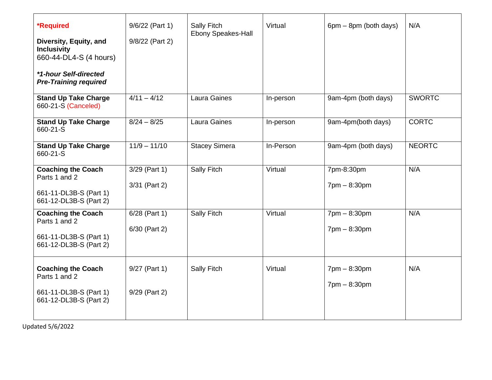| <b>*Required</b><br>Diversity, Equity, and<br><b>Inclusivity</b><br>660-44-DL4-S (4 hours)<br>*1-hour Self-directed<br><b>Pre-Training required</b> | 9/6/22 (Part 1)<br>9/8/22 (Part 2) | Sally Fitch<br><b>Ebony Speakes-Hall</b> | Virtual   | $6pm - 8pm$ (both days)                                          | N/A           |
|-----------------------------------------------------------------------------------------------------------------------------------------------------|------------------------------------|------------------------------------------|-----------|------------------------------------------------------------------|---------------|
| <b>Stand Up Take Charge</b><br>660-21-S (Canceled)                                                                                                  | $4/11 - 4/12$                      | Laura Gaines                             | In-person | 9am-4pm (both days)                                              | <b>SWORTC</b> |
| <b>Stand Up Take Charge</b><br>660-21-S                                                                                                             | $8/24 - 8/25$                      | Laura Gaines                             | In-person | 9am-4pm(both days)                                               | <b>CORTC</b>  |
| <b>Stand Up Take Charge</b><br>660-21-S                                                                                                             | $11/9 - 11/10$                     | <b>Stacey Simera</b>                     | In-Person | 9am-4pm (both days)                                              | <b>NEORTC</b> |
| <b>Coaching the Coach</b><br>Parts 1 and 2<br>661-11-DL3B-S (Part 1)<br>661-12-DL3B-S (Part 2)                                                      | 3/29 (Part 1)<br>3/31 (Part 2)     | Sally Fitch                              | Virtual   | 7pm-8:30pm<br>$7$ pm $- 8:30$ pm                                 | N/A           |
| <b>Coaching the Coach</b><br>Parts 1 and 2<br>661-11-DL3B-S (Part 1)<br>661-12-DL3B-S (Part 2)                                                      | $6/28$ (Part 1)<br>6/30 (Part 2)   | <b>Sally Fitch</b>                       | Virtual   | $7$ pm $- 8:30$ pm<br>$7$ pm $- 8:30$ pm                         | N/A           |
| <b>Coaching the Coach</b><br>Parts 1 and 2<br>661-11-DL3B-S (Part 1)<br>661-12-DL3B-S (Part 2)                                                      | 9/27 (Part 1)<br>9/29 (Part 2)     | Sally Fitch                              | Virtual   | $7 \text{pm} - 8:30 \text{pm}$<br>$7 \text{pm} - 8:30 \text{pm}$ | N/A           |